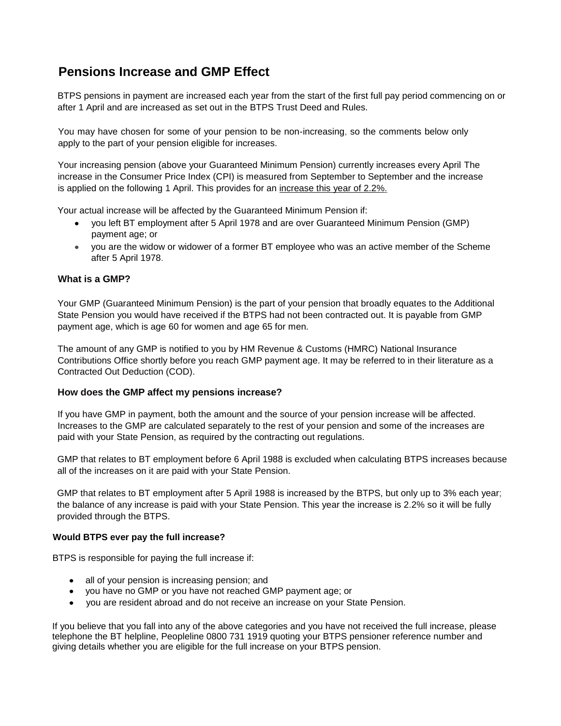# **Pensions Increase and GMP Effect**

BTPS pensions in payment are increased each year from the start of the first full pay period commencing on or after 1 April and are increased as set out in the BTPS Trust Deed and Rules.

You may have chosen for some of your pension to be non-increasing, so the comments below only apply to the part of your pension eligible for increases.

Your increasing pension (above your Guaranteed Minimum Pension) currently increases every April The increase in the Consumer Price Index (CPI) is measured from September to September and the increase is applied on the following 1 April. This provides for an increase this year of 2.2%.

Your actual increase will be affected by the Guaranteed Minimum Pension if:

- you left BT employment after 5 April 1978 and are over Guaranteed Minimum Pension (GMP) payment age; or
- you are the widow or widower of a former BT employee who was an active member of the Scheme after 5 April 1978.

## **What is a GMP?**

Your GMP (Guaranteed Minimum Pension) is the part of your pension that broadly equates to the Additional State Pension you would have received if the BTPS had not been contracted out. It is payable from GMP payment age, which is age 60 for women and age 65 for men.

The amount of any GMP is notified to you by HM Revenue & Customs (HMRC) National Insurance Contributions Office shortly before you reach GMP payment age. It may be referred to in their literature as a Contracted Out Deduction (COD).

## **How does the GMP affect my pensions increase?**

If you have GMP in payment, both the amount and the source of your pension increase will be affected. Increases to the GMP are calculated separately to the rest of your pension and some of the increases are paid with your State Pension, as required by the contracting out regulations.

GMP that relates to BT employment before 6 April 1988 is excluded when calculating BTPS increases because all of the increases on it are paid with your State Pension.

GMP that relates to BT employment after 5 April 1988 is increased by the BTPS, but only up to 3% each year; the balance of any increase is paid with your State Pension. This year the increase is 2.2% so it will be fully provided through the BTPS.

#### **Would BTPS ever pay the full increase?**

BTPS is responsible for paying the full increase if:

- all of your pension is increasing pension; and
- you have no GMP or you have not reached GMP payment age; or
- you are resident abroad and do not receive an increase on your State Pension.

If you believe that you fall into any of the above categories and you have not received the full increase, please telephone the BT helpline, Peopleline 0800 731 1919 quoting your BTPS pensioner reference number and giving details whether you are eligible for the full increase on your BTPS pension.